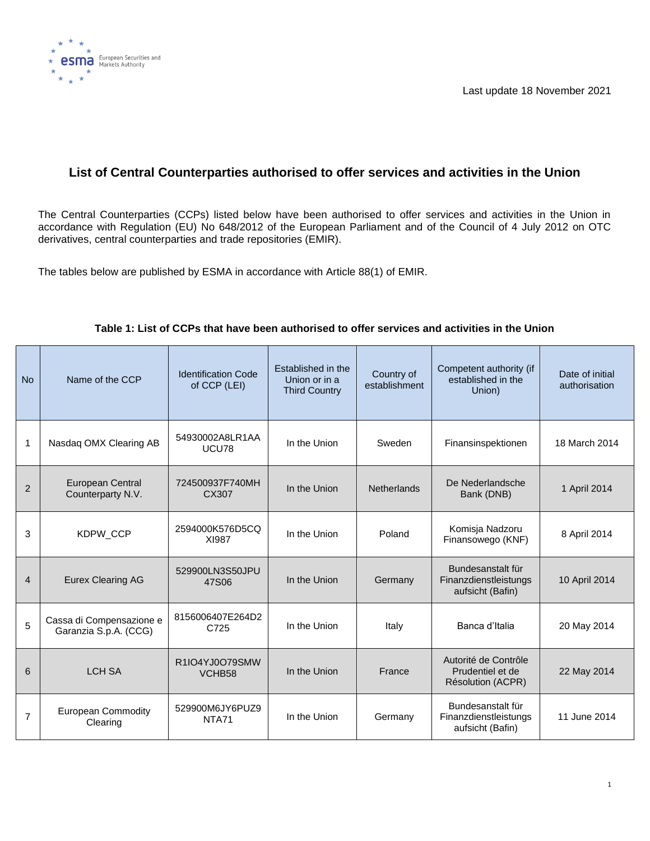

# **List of Central Counterparties authorised to offer services and activities in the Union**

The Central Counterparties (CCPs) listed below have been authorised to offer services and activities in the Union in accordance with Regulation (EU) No 648/2012 of the European Parliament and of the Council of 4 July 2012 on OTC derivatives, central counterparties and trade repositories (EMIR).

The tables below are published by ESMA in accordance with Article 88(1) of EMIR.

| <b>No</b>      | Name of the CCP                                   | <b>Identification Code</b><br>of CCP (LEI) | Established in the<br>Union or in a<br><b>Third Country</b> | Country of<br>establishment | Competent authority (if<br>established in the<br>Union)        | Date of initial<br>authorisation |
|----------------|---------------------------------------------------|--------------------------------------------|-------------------------------------------------------------|-----------------------------|----------------------------------------------------------------|----------------------------------|
| 1              | Nasdaq OMX Clearing AB                            | 54930002A8LR1AA<br>UCU78                   | In the Union                                                | Sweden                      | Finansinspektionen                                             | 18 March 2014                    |
| 2              | <b>European Central</b><br>Counterparty N.V.      | 724500937F740MH<br>CX307                   | In the Union                                                | <b>Netherlands</b>          | De Nederlandsche<br>Bank (DNB)                                 | 1 April 2014                     |
| 3              | KDPW_CCP                                          | 2594000K576D5CQ<br>XI987                   | In the Union                                                | Poland                      | Komisja Nadzoru<br>Finansowego (KNF)                           | 8 April 2014                     |
| 4              | <b>Eurex Clearing AG</b>                          | 529900LN3S50JPU<br>47S06                   | In the Union                                                | Germany                     | Bundesanstalt für<br>Finanzdienstleistungs<br>aufsicht (Bafin) | 10 April 2014                    |
| 5              | Cassa di Compensazione e<br>Garanzia S.p.A. (CCG) | 8156006407E264D2<br>C725                   | In the Union                                                | Italy                       | Banca d'Italia                                                 | 20 May 2014                      |
| 6              | <b>LCH SA</b>                                     | R1IO4YJ0O79SMW<br>VCHB <sub>58</sub>       | In the Union                                                | France                      | Autorité de Contrôle<br>Prudentiel et de<br>Résolution (ACPR)  | 22 May 2014                      |
| $\overline{7}$ | <b>European Commodity</b><br>Clearing             | 529900M6JY6PUZ9<br><b>NTA71</b>            | In the Union                                                | Germany                     | Bundesanstalt für<br>Finanzdienstleistungs<br>aufsicht (Bafin) | 11 June 2014                     |

## **Table 1: List of CCPs that have been authorised to offer services and activities in the Union**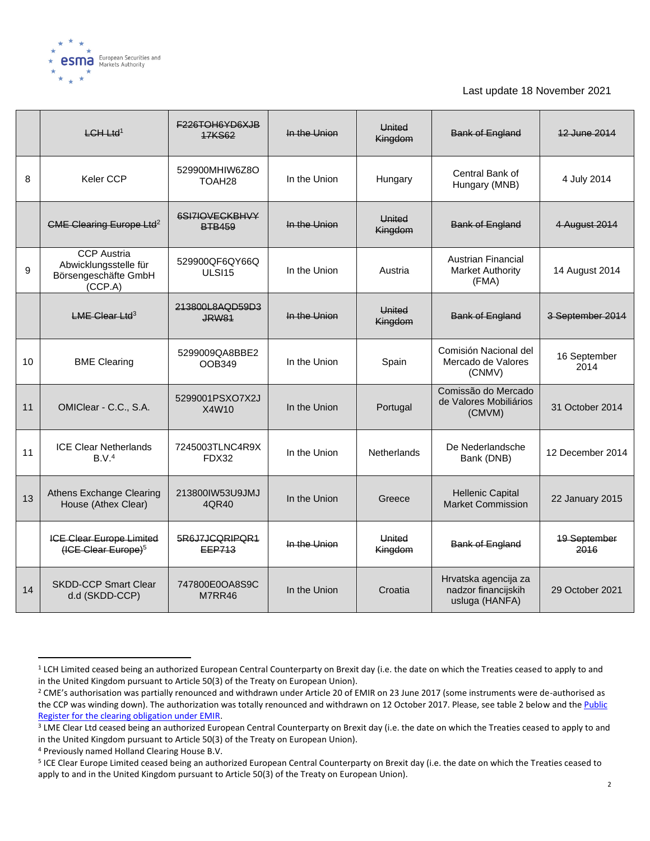

|    | $LCH-Ltd1$                                                                     | <b>F226TOH6YD6XJB</b><br><b>17KS62</b> | In the Union | <b>United</b><br>Kingdom | <b>Bank of England</b>                                        | 12 June 2014                |
|----|--------------------------------------------------------------------------------|----------------------------------------|--------------|--------------------------|---------------------------------------------------------------|-----------------------------|
| 8  | <b>Keler CCP</b>                                                               | 529900MHIW6Z8O<br>TOAH <sub>28</sub>   | In the Union | Hungary                  | Central Bank of<br>Hungary (MNB)                              | 4 July 2014                 |
|    | CME Clearing Europe Ltd <sup>2</sup>                                           | 6SI7IOVECKBHVY<br><b>BTB459</b>        | In the Union | <b>United</b><br>Kingdom | <b>Bank of England</b>                                        | 4 August 2014               |
| 9  | <b>CCP Austria</b><br>Abwicklungsstelle für<br>Börsengeschäfte GmbH<br>(CCP.A) | 529900QF6QY66Q<br>ULSI <sub>15</sub>   | In the Union | Austria                  | <b>Austrian Financial</b><br><b>Market Authority</b><br>(FMA) | 14 August 2014              |
|    | $LME$ Clear Ltd <sup>3</sup>                                                   | 213800L8AQD59D3<br><b>JRW81</b>        | In the Union | United<br>Kingdom        | <b>Bank of England</b>                                        | 3 September 2014            |
| 10 | <b>BME Clearing</b>                                                            | 5299009QA8BBE2<br>OOB349               | In the Union | Spain                    | Comisión Nacional del<br>Mercado de Valores<br>(CNMV)         | 16 September<br>2014        |
| 11 | OMIClear - C.C., S.A.                                                          | 5299001PSXO7X2J<br>X4W10               | In the Union | Portugal                 | Comissão do Mercado<br>de Valores Mobiliários<br>(CMVM)       | 31 October 2014             |
| 11 | <b>ICE Clear Netherlands</b><br>B.V. <sup>4</sup>                              | 7245003TLNC4R9X<br>FDX32               | In the Union | <b>Netherlands</b>       | De Nederlandsche<br>Bank (DNB)                                | 12 December 2014            |
| 13 | Athens Exchange Clearing<br>House (Athex Clear)                                | 213800IW53U9JMJ<br>4QR40               | In the Union | Greece                   | <b>Hellenic Capital</b><br><b>Market Commission</b>           | 22 January 2015             |
|    | ICE Clear Europe Limited<br>(ICE Clear Europe) <sup>5</sup>                    | 5R6J7JCQRIPQR1<br>EEP713               | In the Union | <b>United</b><br>Kingdom | <b>Bank of England</b>                                        | <b>19 September</b><br>2016 |
| 14 | <b>SKDD-CCP Smart Clear</b><br>d.d (SKDD-CCP)                                  | 747800E0OA8S9C<br>M7RR46               | In the Union | Croatia                  | Hrvatska agencija za<br>nadzor financijskih<br>usluga (HANFA) | 29 October 2021             |

<sup>&</sup>lt;sup>1</sup> LCH Limited ceased being an authorized European Central Counterparty on Brexit day (i.e. the date on which the Treaties ceased to apply to and in the United Kingdom pursuant to Article 50(3) of the Treaty on European Union).

<sup>&</sup>lt;sup>2</sup> CME's authorisation was partially renounced and withdrawn under Article 20 of EMIR on 23 June 2017 (some instruments were de-authorised as the CCP was winding down). The authorization was totally renounced and withdrawn on 12 October 2017. Please, see table 2 below and the Public [Register for the clearing obligation under EMIR.](https://www.esma.europa.eu/sites/default/files/library/public_register_for_the_clearing_obligation_under_emir.pdf)

<sup>&</sup>lt;sup>3</sup> LME Clear Ltd ceased being an authorized European Central Counterparty on Brexit day (i.e. the date on which the Treaties ceased to apply to and in the United Kingdom pursuant to Article 50(3) of the Treaty on European Union).

<sup>4</sup> Previously named Holland Clearing House B.V.

<sup>5</sup> ICE Clear Europe Limited ceased being an authorized European Central Counterparty on Brexit day (i.e. the date on which the Treaties ceased to apply to and in the United Kingdom pursuant to Article 50(3) of the Treaty on European Union).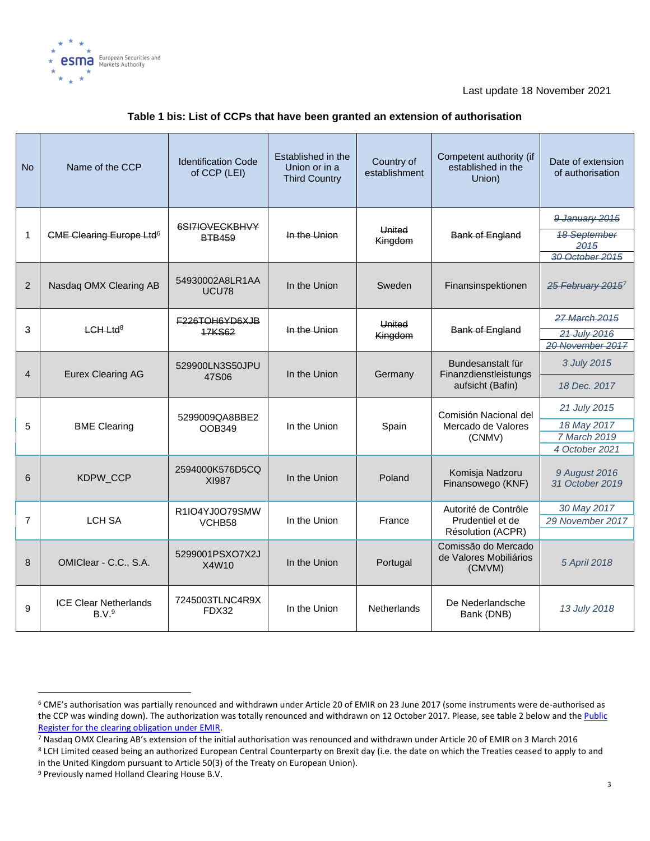

| <b>No</b>      | Name of the CCP                                   | <b>Identification Code</b><br>of CCP (LEI) | Established in the<br>Union or in a<br><b>Third Country</b> | Country of<br>establishment | Competent authority (if<br>established in the<br>Union) | Date of extension<br>of authorisation    |
|----------------|---------------------------------------------------|--------------------------------------------|-------------------------------------------------------------|-----------------------------|---------------------------------------------------------|------------------------------------------|
|                |                                                   | 6SI7IOVECKBHVY                             |                                                             |                             |                                                         | 9 January 2015                           |
| $\mathbf{1}$   | <b>CME Clearing Europe Ltd<sup>6</sup></b>        | <b>BTB459</b>                              | In the Union                                                | <b>United</b><br>Kingdom    | <b>Bank of England</b>                                  | <b>18 September</b><br>2015              |
|                |                                                   |                                            |                                                             |                             |                                                         | 30 October 2015                          |
| 2              | Nasdaq OMX Clearing AB                            | 54930002A8LR1AA<br>UCU78                   | In the Union                                                | Sweden                      | Finansinspektionen                                      | <del>25 February 2015</del> <sup>7</sup> |
|                |                                                   | <b>F226TOH6YD6XJB</b>                      |                                                             | United                      |                                                         | 27 March 2015                            |
| 3              | $LCH-Ltd8$                                        | <b>17KS62</b>                              | In the Union                                                | Kingdom                     | Bank of England                                         | 21 July 2016                             |
|                |                                                   |                                            |                                                             |                             |                                                         | 20 November 2017                         |
|                |                                                   | 529900LN3S50JPU                            | In the Union                                                | Germany                     | Bundesanstalt für                                       | 3 July 2015                              |
| $\overline{4}$ | <b>Eurex Clearing AG</b>                          | 47S06                                      |                                                             |                             | Finanzdienstleistungs<br>aufsicht (Bafin)               | 18 Dec. 2017                             |
|                |                                                   | 5299009QA8BBE2                             | In the Union                                                | Spain                       | Comisión Nacional del                                   | 21 July 2015                             |
| 5              | <b>BME Clearing</b>                               | OOB349                                     |                                                             |                             | Mercado de Valores<br>(CNMV)                            | 18 May 2017                              |
|                |                                                   |                                            |                                                             |                             |                                                         | 7 March 2019                             |
|                |                                                   |                                            |                                                             |                             |                                                         | 4 October 2021                           |
| 6              | KDPW_CCP                                          | 2594000K576D5CQ<br><b>XI987</b>            | In the Union                                                | Poland                      | Komisja Nadzoru<br>Finansowego (KNF)                    | 9 August 2016<br>31 October 2019         |
|                |                                                   | R1IO4YJ0O79SMW                             |                                                             |                             | Autorité de Contrôle                                    | 30 May 2017                              |
| $\overline{7}$ | <b>LCH SA</b>                                     | VCHB <sub>58</sub>                         | In the Union                                                | France                      | Prudentiel et de                                        | 29 November 2017                         |
|                |                                                   |                                            |                                                             |                             | Résolution (ACPR)                                       |                                          |
| 8              | OMIClear - C.C., S.A.                             | 5299001PSXO7X2J<br>X4W10                   | In the Union                                                | Portugal                    | Comissão do Mercado<br>de Valores Mobiliários<br>(CMVM) | 5 April 2018                             |
| 9              | <b>ICE Clear Netherlands</b><br>B.V. <sup>9</sup> | 7245003TLNC4R9X<br>FDX32                   | In the Union                                                | <b>Netherlands</b>          | De Nederlandsche<br>Bank (DNB)                          | 13 July 2018                             |

#### **Table 1 bis: List of CCPs that have been granted an extension of authorisation**

in the United Kingdom pursuant to Article 50(3) of the Treaty on European Union).

<sup>6</sup> CME's authorisation was partially renounced and withdrawn under Article 20 of EMIR on 23 June 2017 (some instruments were de-authorised as the CCP was winding down). The authorization was totally renounced and withdrawn on 12 October 2017. Please, see table 2 below and the Public [Register for the clearing obligation under EMIR.](https://www.esma.europa.eu/sites/default/files/library/public_register_for_the_clearing_obligation_under_emir.pdf)

<sup>7</sup> Nasdaq OMX Clearing AB's extension of the initial authorisation was renounced and withdrawn under Article 20 of EMIR on 3 March 2016 <sup>8</sup> LCH Limited ceased being an authorized European Central Counterparty on Brexit day (i.e. the date on which the Treaties ceased to apply to and

<sup>9</sup> Previously named Holland Clearing House B.V.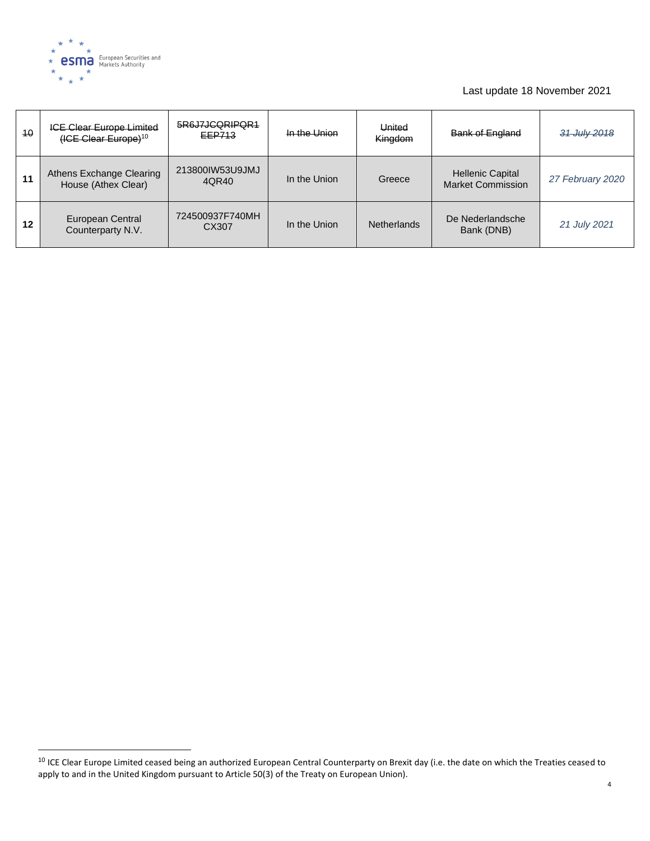

| 40 | <b>ICE Clear Europe Limited</b><br>$(ICE Clear Europe)10$ | 5R6J7JCQRIPQR1<br>EEP713 | In the Union | United<br>Kingdom  | <b>Bank of England</b>                              | 31 July 2018     |
|----|-----------------------------------------------------------|--------------------------|--------------|--------------------|-----------------------------------------------------|------------------|
| 11 | Athens Exchange Clearing<br>House (Athex Clear)           | 213800IW53U9JMJ<br>4QR40 | In the Union | Greece             | <b>Hellenic Capital</b><br><b>Market Commission</b> | 27 February 2020 |
| 12 | European Central<br>Counterparty N.V.                     | 724500937F740MH<br>CX307 | In the Union | <b>Netherlands</b> | De Nederlandsche<br>Bank (DNB)                      | 21 July 2021     |

<sup>&</sup>lt;sup>10</sup> ICE Clear Europe Limited ceased being an authorized European Central Counterparty on Brexit day (i.e. the date on which the Treaties ceased to apply to and in the United Kingdom pursuant to Article 50(3) of the Treaty on European Union).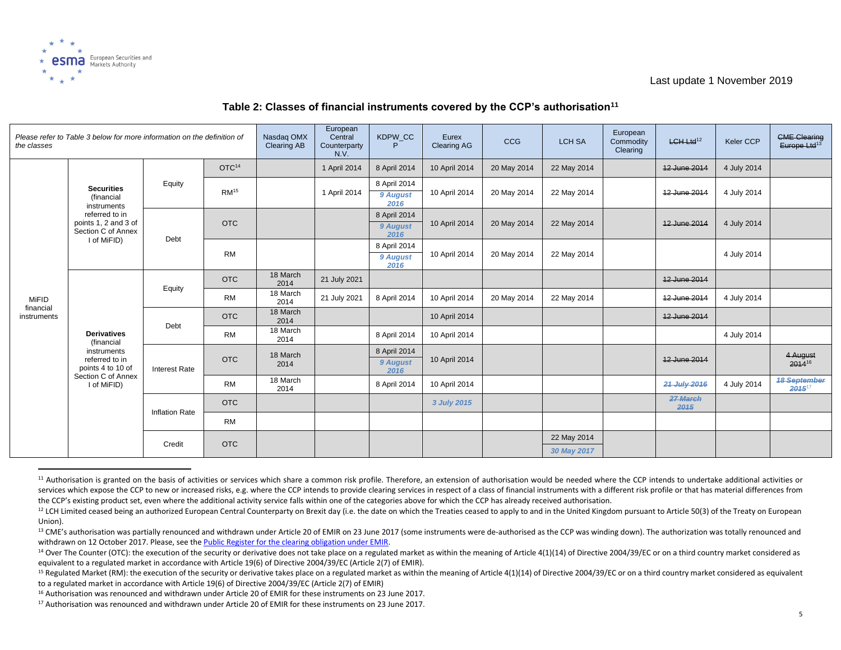

| the classes              | Please refer to Table 3 below for more information on the definition of                                                       | Nasdag OMX<br><b>Clearing AB</b> | European<br>Central<br>Counterparty<br>N.V. | KDPW CC          | Eurex<br><b>Clearing AG</b> | CCG                              | <b>LCH SA</b> | European<br>Commodity<br>Clearing | LCH Ltd <sup>12</sup> | Keler CCP | <b>CME Clearing</b><br>Europe Ltd <sup>13</sup> |             |                                    |
|--------------------------|-------------------------------------------------------------------------------------------------------------------------------|----------------------------------|---------------------------------------------|------------------|-----------------------------|----------------------------------|---------------|-----------------------------------|-----------------------|-----------|-------------------------------------------------|-------------|------------------------------------|
|                          | <b>Securities</b><br>(financial<br>instruments<br>referred to in<br>points 1, 2 and 3 of<br>Section C of Annex<br>I of MiFID) |                                  | OTC <sup>14</sup>                           |                  | 1 April 2014                | 8 April 2014                     | 10 April 2014 | 20 May 2014                       | 22 May 2014           |           | 12 June 2014                                    | 4 July 2014 |                                    |
|                          |                                                                                                                               | Equity                           | RM <sup>15</sup>                            |                  | 1 April 2014                | 8 April 2014<br>9 August<br>2016 | 10 April 2014 | 20 May 2014                       | 22 May 2014           |           | 12 June 2014                                    | 4 July 2014 |                                    |
|                          |                                                                                                                               | Debt                             | <b>OTC</b>                                  |                  |                             | 8 April 2014<br>9 August<br>2016 | 10 April 2014 | 20 May 2014                       | 22 May 2014           |           | 12 June 2014                                    | 4 July 2014 |                                    |
|                          |                                                                                                                               |                                  | <b>RM</b>                                   |                  |                             | 8 April 2014<br>9 August<br>2016 | 10 April 2014 | 20 May 2014                       | 22 May 2014           |           |                                                 | 4 July 2014 |                                    |
|                          |                                                                                                                               | Equity                           | <b>OTC</b>                                  | 18 March<br>2014 | 21 July 2021                |                                  |               |                                   |                       |           | 12 June 2014                                    |             |                                    |
| MiFID                    |                                                                                                                               |                                  | <b>RM</b>                                   | 18 March<br>2014 | 21 July 2021                | 8 April 2014                     | 10 April 2014 | 20 May 2014                       | 22 May 2014           |           | 12 June 2014                                    | 4 July 2014 |                                    |
| financial<br>instruments |                                                                                                                               | Debt                             | <b>OTC</b>                                  | 18 March<br>2014 |                             |                                  | 10 April 2014 |                                   |                       |           | 12 June 2014                                    |             |                                    |
|                          | <b>Derivatives</b><br>(financial                                                                                              |                                  | <b>RM</b>                                   | 18 March<br>2014 |                             | 8 April 2014                     | 10 April 2014 |                                   |                       |           |                                                 | 4 July 2014 |                                    |
|                          | instruments<br>referred to in<br>points 4 to 10 of                                                                            | <b>Interest Rate</b>             | <b>OTC</b>                                  | 18 March<br>2014 |                             | 8 April 2014<br>9 August<br>2016 | 10 April 2014 |                                   |                       |           | 12 June 2014                                    |             | 4 August<br>201416                 |
|                          | Section C of Annex<br>I of MiFID)                                                                                             |                                  | <b>RM</b>                                   | 18 March<br>2014 |                             | 8 April 2014                     | 10 April 2014 |                                   |                       |           | 21 July 2016                                    | 4 July 2014 | <b>18 September</b><br>$2015^{17}$ |
|                          |                                                                                                                               | <b>Inflation Rate</b>            | <b>OTC</b>                                  |                  |                             |                                  | 3 July 2015   |                                   |                       |           | 27 March<br>2015                                |             |                                    |
|                          |                                                                                                                               |                                  | <b>RM</b>                                   |                  |                             |                                  |               |                                   |                       |           |                                                 |             |                                    |
|                          |                                                                                                                               | Credit                           | <b>OTC</b>                                  |                  |                             |                                  |               |                                   | 22 May 2014           |           |                                                 |             |                                    |
|                          |                                                                                                                               |                                  |                                             |                  |                             |                                  |               |                                   | 30 May 2017           |           |                                                 |             |                                    |

#### **Table 2: Classes of financial instruments covered by the CCP's authorisation<sup>11</sup>**

<sup>&</sup>lt;sup>11</sup> Authorisation is granted on the basis of activities or services which share a common risk profile. Therefore, an extension of authorisation would be needed where the CCP intends to undertake additional activities or services which expose the CCP to new or increased risks, e.g. where the CCP intends to provide clearing services in respect of a class of financial instruments with a different risk profile or that has material differences the CCP's existing product set, even where the additional activity service falls within one of the categories above for which the CCP has already received authorisation.

<sup>&</sup>lt;sup>12</sup> LCH Limited ceased being an authorized European Central Counterparty on Brexit day (i.e. the date on which the Treaties ceased to apply to and in the United Kingdom pursuant to Article 50(3) of the Treaty on European Union).

<sup>&</sup>lt;sup>13</sup> CME's authorisation was partially renounced and withdrawn under Article 20 of EMIR on 23 June 2017 (some instruments were de-authorised as the CCP was winding down). The authorization was totally renounced and withdrawn on 12 October 2017. Please, see th[e Public Register for the clearing obligation under EMIR.](https://www.esma.europa.eu/sites/default/files/library/public_register_for_the_clearing_obligation_under_emir.pdf)

<sup>&</sup>lt;sup>14</sup> Over The Counter (OTC): the execution of the security or derivative does not take place on a regulated market as within the meaning of Article 4(1)(14) of Directive 2004/39/EC or on a third country market considered a equivalent to a regulated market in accordance with Article 19(6) of Directive 2004/39/EC (Article 2(7) of EMIR).

<sup>&</sup>lt;sup>15</sup> Regulated Market (RM): the execution of the security or derivative takes place on a regulated market as within the meaning of Article 4(1)(14) of Directive 2004/39/EC or on a third country market considered as equival to a regulated market in accordance with Article 19(6) of Directive 2004/39/EC (Article 2(7) of EMIR)

<sup>&</sup>lt;sup>16</sup> Authorisation was renounced and withdrawn under Article 20 of EMIR for these instruments on 23 June 2017.

<sup>&</sup>lt;sup>17</sup> Authorisation was renounced and withdrawn under Article 20 of EMIR for these instruments on 23 June 2017.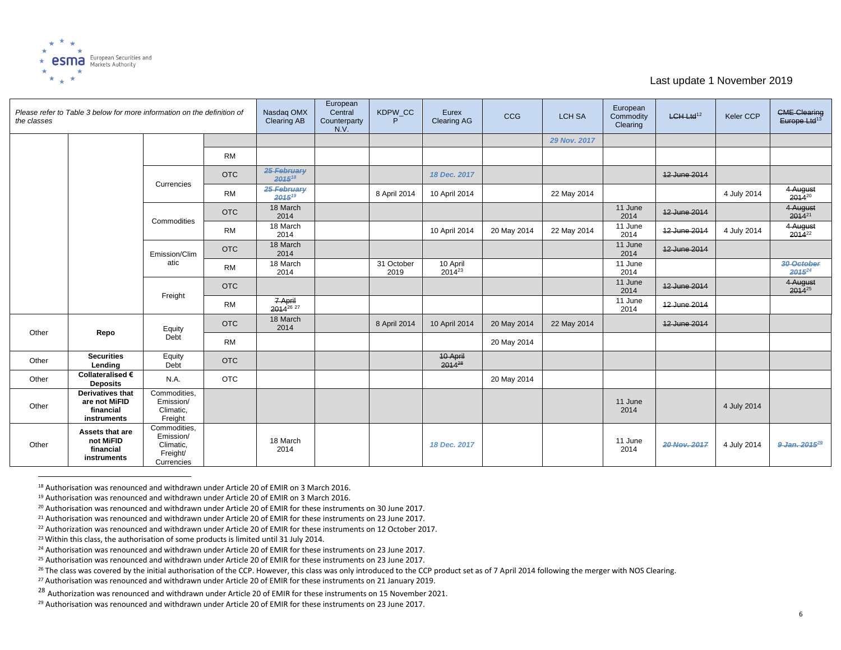

| the classes | Please refer to Table 3 below for more information on the definition of |                                                                  |            | Nasdag OMX<br><b>Clearing AB</b> | European<br>Central<br>Counterparty<br>N.V. | KDPW CC<br>P       | Eurex<br><b>Clearing AG</b>    | CCG         | <b>LCH SA</b> | European<br>Commodity<br>Clearing | $LCH-Ltd12$  | <b>Keler CCP</b> | <b>CME Clearing</b><br>Europe Ltd <sup>13</sup> |
|-------------|-------------------------------------------------------------------------|------------------------------------------------------------------|------------|----------------------------------|---------------------------------------------|--------------------|--------------------------------|-------------|---------------|-----------------------------------|--------------|------------------|-------------------------------------------------|
|             |                                                                         |                                                                  |            |                                  |                                             |                    |                                |             | 29 Nov. 2017  |                                   |              |                  |                                                 |
|             |                                                                         |                                                                  | <b>RM</b>  |                                  |                                             |                    |                                |             |               |                                   |              |                  |                                                 |
|             |                                                                         | Currencies                                                       | <b>OTC</b> | 25 February<br>201518            |                                             |                    | 18 Dec. 2017                   |             |               |                                   | 12 June 2014 |                  |                                                 |
|             |                                                                         |                                                                  | <b>RM</b>  | 25 February<br>201519            |                                             | 8 April 2014       | 10 April 2014                  |             | 22 May 2014   |                                   |              | 4 July 2014      | 4 August<br>$2014^{20}$                         |
|             |                                                                         | Commodities                                                      | <b>OTC</b> | 18 March<br>2014                 |                                             |                    |                                |             |               | 11 June<br>2014                   | 12 June 2014 |                  | 4 August<br>$2014^{21}$                         |
|             |                                                                         |                                                                  | <b>RM</b>  | 18 March<br>2014                 |                                             |                    | 10 April 2014                  | 20 May 2014 | 22 May 2014   | 11 June<br>2014                   | 12 June 2014 | 4 July 2014      | 4 August<br>$2014^{22}$                         |
|             |                                                                         | Emission/Clim<br>atic                                            | <b>OTC</b> | 18 March<br>2014                 |                                             |                    |                                |             |               | 11 June<br>2014                   | 12 June 2014 |                  |                                                 |
|             |                                                                         |                                                                  | <b>RM</b>  | 18 March<br>2014                 |                                             | 31 October<br>2019 | 10 April<br>2014 <sup>23</sup> |             |               | 11 June<br>2014                   |              |                  | 30 October<br>2015 <sup>24</sup>                |
|             |                                                                         | Freight                                                          | <b>OTC</b> |                                  |                                             |                    |                                |             |               | 11 June<br>2014                   | 12 June 2014 |                  | 4 August<br>2014 <sup>25</sup>                  |
|             |                                                                         |                                                                  | <b>RM</b>  | 7 April<br>2014 <sup>26</sup> 27 |                                             |                    |                                |             |               | 11 June<br>2014                   | 12 June 2014 |                  |                                                 |
| Other       | Repo                                                                    | Equity<br>Debt                                                   | <b>OTC</b> | 18 March<br>2014                 |                                             | 8 April 2014       | 10 April 2014                  | 20 May 2014 | 22 May 2014   |                                   | 12 June 2014 |                  |                                                 |
|             |                                                                         |                                                                  | <b>RM</b>  |                                  |                                             |                    |                                | 20 May 2014 |               |                                   |              |                  |                                                 |
| Other       | <b>Securities</b><br>Lending                                            | Equity<br>Debt                                                   | <b>OTC</b> |                                  |                                             |                    | 10 April<br>2014 <sup>28</sup> |             |               |                                   |              |                  |                                                 |
| Other       | Collateralised €<br><b>Deposits</b>                                     | N.A.                                                             | <b>OTC</b> |                                  |                                             |                    |                                | 20 May 2014 |               |                                   |              |                  |                                                 |
| Other       | Derivatives that<br>are not MiFID<br>financial<br>instruments           | Commodities,<br>Emission/<br>Climatic,<br>Freight                |            |                                  |                                             |                    |                                |             |               | 11 June<br>2014                   |              | 4 July 2014      |                                                 |
| Other       | Assets that are<br>not MiFID<br>financial<br>instruments                | Commodities,<br>Emission/<br>Climatic,<br>Freight/<br>Currencies |            | 18 March<br>2014                 |                                             |                    | 18 Dec. 2017                   |             |               | 11 June<br>2014                   | 20 Nov. 2017 | 4 July 2014      | 9 Jan. 2015 <sup>29</sup>                       |

<sup>18</sup> Authorisation was renounced and withdrawn under Article 20 of EMIR on 3 March 2016.

<sup>19</sup> Authorisation was renounced and withdrawn under Article 20 of EMIR on 3 March 2016.

<sup>&</sup>lt;sup>20</sup> Authorisation was renounced and withdrawn under Article 20 of EMIR for these instruments on 30 June 2017.

<sup>&</sup>lt;sup>21</sup> Authorisation was renounced and withdrawn under Article 20 of EMIR for these instruments on 23 June 2017.

<sup>&</sup>lt;sup>22</sup> Authorization was renounced and withdrawn under Article 20 of EMIR for these instruments on 12 October 2017.

<sup>&</sup>lt;sup>23</sup> Within this class, the authorisation of some products is limited until 31 July 2014.

<sup>&</sup>lt;sup>24</sup> Authorisation was renounced and withdrawn under Article 20 of EMIR for these instruments on 23 June 2017.

<sup>&</sup>lt;sup>25</sup> Authorisation was renounced and withdrawn under Article 20 of EMIR for these instruments on 23 June 2017.

<sup>&</sup>lt;sup>26</sup> The class was covered by the initial authorisation of the CCP. However, this class was only introduced to the CCP product set as of 7 April 2014 following the merger with NOS Clearing.

<sup>&</sup>lt;sup>27</sup> Authorisation was renounced and withdrawn under Article 20 of EMIR for these instruments on 21 January 2019.

<sup>&</sup>lt;sup>28</sup> Authorization was renounced and withdrawn under Article 20 of EMIR for these instruments on 15 November 2021.

<sup>&</sup>lt;sup>29</sup> Authorisation was renounced and withdrawn under Article 20 of EMIR for these instruments on 23 June 2017.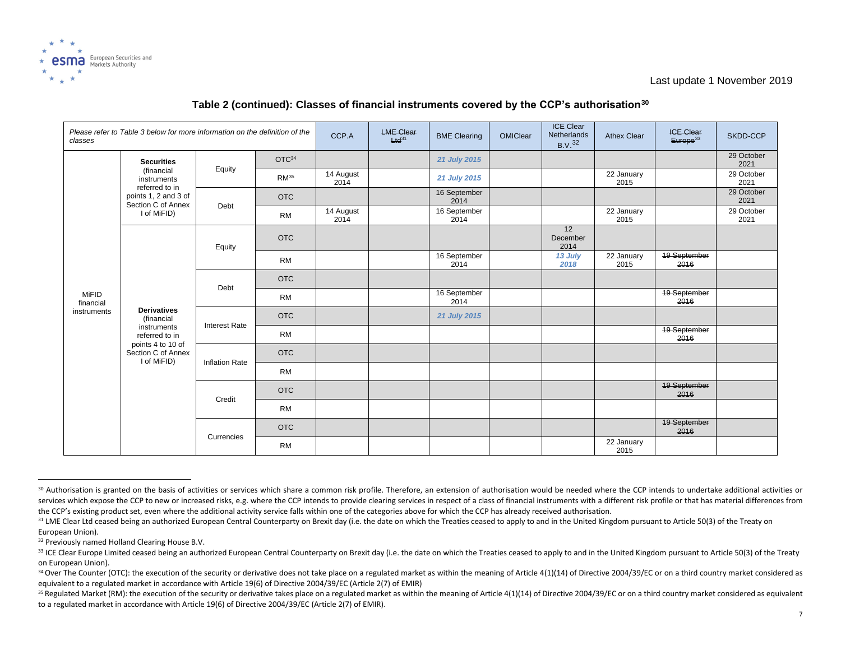

| classes                   | Please refer to Table 3 below for more information on the definition of the | CCP.A                 | <b>LME Clear</b><br>$Hd^{31}$ | <b>BME Clearing</b> | OMIClear | <b>ICE Clear</b><br>Netherlands<br>B.V. <sup>32</sup> | <b>Athex Clear</b> | <b>ICE Clear</b><br>Europe <sup>33</sup> | SKDD-CCP           |                             |                    |
|---------------------------|-----------------------------------------------------------------------------|-----------------------|-------------------------------|---------------------|----------|-------------------------------------------------------|--------------------|------------------------------------------|--------------------|-----------------------------|--------------------|
|                           | <b>Securities</b>                                                           |                       | OTC <sup>34</sup>             |                     |          | 21 July 2015                                          |                    |                                          |                    |                             | 29 October<br>2021 |
|                           | (financial<br>instruments<br>referred to in                                 | Equity                | RM <sup>35</sup>              | 14 August<br>2014   |          | 21 July 2015                                          |                    |                                          | 22 January<br>2015 |                             | 29 October<br>2021 |
|                           | points 1, 2 and 3 of<br>Section C of Annex                                  | Debt                  | <b>OTC</b>                    |                     |          | 16 September<br>2014                                  |                    |                                          |                    |                             | 29 October<br>2021 |
|                           | I of MiFID)                                                                 |                       | <b>RM</b>                     | 14 August<br>2014   |          | 16 September<br>2014                                  |                    |                                          | 22 January<br>2015 |                             | 29 October<br>2021 |
|                           |                                                                             | Equity                | <b>OTC</b>                    |                     |          |                                                       |                    | 12<br>December<br>2014                   |                    |                             |                    |
|                           | <b>Derivatives</b><br>(financial                                            |                       | <b>RM</b>                     |                     |          | 16 September<br>2014                                  |                    | 13 July<br>2018                          | 22 January<br>2015 | 19 September<br>2016        |                    |
|                           |                                                                             | Debt                  | <b>OTC</b>                    |                     |          |                                                       |                    |                                          |                    |                             |                    |
| <b>MiFID</b><br>financial |                                                                             |                       | <b>RM</b>                     |                     |          | 16 September<br>2014                                  |                    |                                          |                    | <b>19 September</b><br>2016 |                    |
| instruments               |                                                                             | <b>Interest Rate</b>  | <b>OTC</b>                    |                     |          | 21 July 2015                                          |                    |                                          |                    |                             |                    |
|                           | instruments<br>referred to in                                               |                       | <b>RM</b>                     |                     |          |                                                       |                    |                                          |                    | <b>19 September</b><br>2016 |                    |
|                           | points 4 to 10 of<br>Section C of Annex<br>I of MiFID)                      | <b>Inflation Rate</b> | <b>OTC</b>                    |                     |          |                                                       |                    |                                          |                    |                             |                    |
|                           |                                                                             |                       | <b>RM</b>                     |                     |          |                                                       |                    |                                          |                    |                             |                    |
|                           |                                                                             | Credit                | <b>OTC</b>                    |                     |          |                                                       |                    |                                          |                    | <b>19 September</b><br>2016 |                    |
|                           |                                                                             |                       | <b>RM</b>                     |                     |          |                                                       |                    |                                          |                    |                             |                    |
|                           |                                                                             | Currencies            | <b>OTC</b>                    |                     |          |                                                       |                    |                                          |                    | <b>19 September</b><br>2016 |                    |
|                           |                                                                             |                       | <b>RM</b>                     |                     |          |                                                       |                    |                                          | 22 January<br>2015 |                             |                    |

### **Table 2 (continued): Classes of financial instruments covered by the CCP's authorisation<sup>30</sup>**

32 Previously named Holland Clearing House B.V.

<sup>30</sup> Authorisation is granted on the basis of activities or services which share a common risk profile. Therefore, an extension of authorisation would be needed where the CCP intends to undertake additional activities or services which expose the CCP to new or increased risks, e.g. where the CCP intends to provide clearing services in respect of a class of financial instruments with a different risk profile or that has material differences the CCP's existing product set, even where the additional activity service falls within one of the categories above for which the CCP has already received authorisation.

<sup>&</sup>lt;sup>31</sup> LME Clear Ltd ceased being an authorized European Central Counterparty on Brexit day (i.e. the date on which the Treaties ceased to apply to and in the United Kingdom pursuant to Article 50(3) of the Treaty on European Union).

<sup>33</sup> ICE Clear Europe Limited ceased being an authorized European Central Counterparty on Brexit day (i.e. the date on which the Treaties ceased to apply to and in the United Kingdom pursuant to Article 50(3) of the Treaty on European Union).

<sup>&</sup>lt;sup>34</sup> Over The Counter (OTC): the execution of the security or derivative does not take place on a regulated market as within the meaning of Article 4(1)(14) of Directive 2004/39/EC or on a third country market considered a equivalent to a regulated market in accordance with Article 19(6) of Directive 2004/39/EC (Article 2(7) of EMIR)

<sup>35</sup> Regulated Market (RM): the execution of the security or derivative takes place on a regulated market as within the meaning of Article 4(1)(14) of Directive 2004/39/EC or on a third country market considered as equivalen to a regulated market in accordance with Article 19(6) of Directive 2004/39/EC (Article 2(7) of EMIR).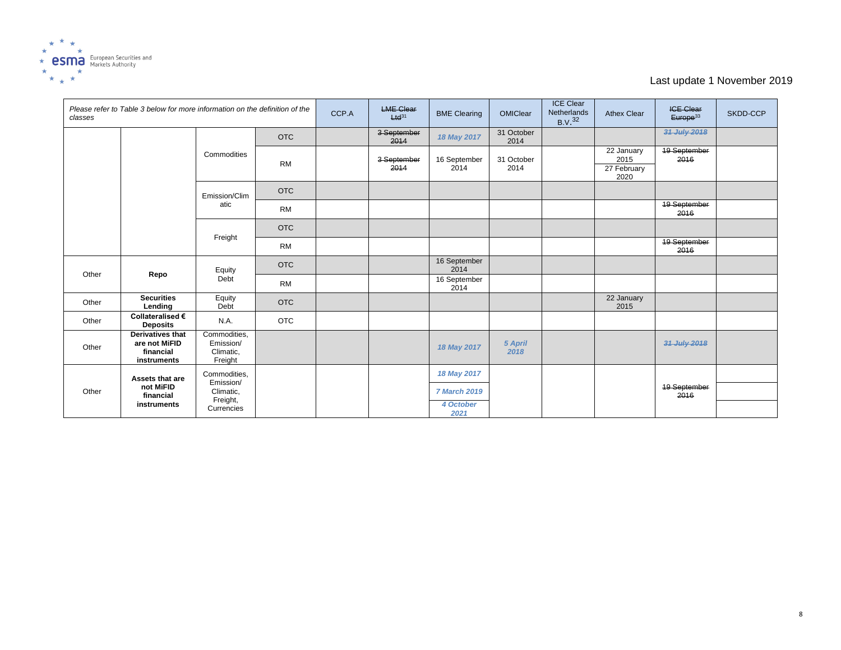

| classes | Please refer to Table 3 below for more information on the definition of the |                                                                  |            | CCP.A | <b>LME Clear</b><br>$Ltd^{31}$ | <b>BME Clearing</b>  | OMIClear           | <b>ICE Clear</b><br>Netherlands<br>B.V. <sup>32</sup> | <b>Athex Clear</b>                        | <b>ICE Clear</b><br>Europe <sup>33</sup> | SKDD-CCP |
|---------|-----------------------------------------------------------------------------|------------------------------------------------------------------|------------|-------|--------------------------------|----------------------|--------------------|-------------------------------------------------------|-------------------------------------------|------------------------------------------|----------|
|         |                                                                             | Commodities                                                      | <b>OTC</b> |       | 3 September<br>2014            | 18 May 2017          | 31 October<br>2014 |                                                       |                                           | 31 July 2018                             |          |
|         |                                                                             |                                                                  | <b>RM</b>  |       | 3-September<br>2014            | 16 September<br>2014 | 31 October<br>2014 |                                                       | 22 January<br>2015<br>27 February<br>2020 | <b>19 September</b><br>2016              |          |
|         |                                                                             | Emission/Clim<br>atic                                            | <b>OTC</b> |       |                                |                      |                    |                                                       |                                           |                                          |          |
|         |                                                                             |                                                                  | <b>RM</b>  |       |                                |                      |                    |                                                       |                                           | 19 September<br>2016                     |          |
|         |                                                                             | Freight                                                          | <b>OTC</b> |       |                                |                      |                    |                                                       |                                           |                                          |          |
|         |                                                                             |                                                                  | <b>RM</b>  |       |                                |                      |                    |                                                       |                                           | <b>19 September</b><br>2016              |          |
| Other   | Repo                                                                        | Equity<br>Debt                                                   | <b>OTC</b> |       |                                | 16 September<br>2014 |                    |                                                       |                                           |                                          |          |
|         |                                                                             |                                                                  | <b>RM</b>  |       |                                | 16 September<br>2014 |                    |                                                       |                                           |                                          |          |
| Other   | <b>Securities</b><br>Lending                                                | Equity<br>Debt                                                   | <b>OTC</b> |       |                                |                      |                    |                                                       | 22 January<br>2015                        |                                          |          |
| Other   | Collateralised €<br><b>Deposits</b>                                         | N.A.                                                             | <b>OTC</b> |       |                                |                      |                    |                                                       |                                           |                                          |          |
| Other   | <b>Derivatives that</b><br>are not MiFID<br>financial<br>instruments        | Commodities,<br>Emission/<br>Climatic,<br>Freight                |            |       |                                | 18 May 2017          | 5 April<br>2018    |                                                       |                                           | 31 July 2018                             |          |
|         | Assets that are                                                             | Commodities,<br>Emission/<br>Climatic,<br>Freight,<br>Currencies |            |       |                                | 18 May 2017          |                    |                                                       |                                           |                                          |          |
| Other   | not MiFID<br>financial                                                      |                                                                  |            |       |                                | <b>7 March 2019</b>  |                    |                                                       |                                           | <b>19 September</b><br>2016              |          |
|         | instruments                                                                 |                                                                  |            |       |                                | 4 October<br>2021    |                    |                                                       |                                           |                                          |          |